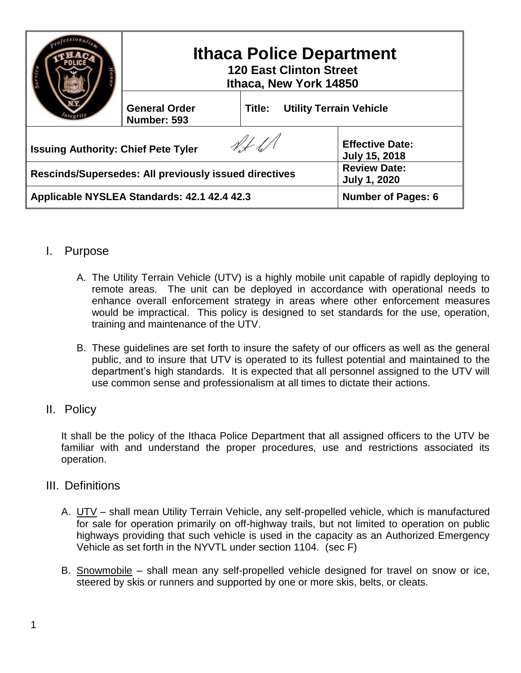|                                                       | <b>Ithaca Police Department</b><br><b>120 East Clinton Street</b><br>Ithaca, New York 14850 |                                          |                                                |
|-------------------------------------------------------|---------------------------------------------------------------------------------------------|------------------------------------------|------------------------------------------------|
|                                                       | <b>General Order</b><br>Number: 593                                                         | <b>Utility Terrain Vehicle</b><br>Title: |                                                |
| <b>Issuing Authority: Chief Pete Tyler</b>            |                                                                                             |                                          | <b>Effective Date:</b><br><b>July 15, 2018</b> |
| Rescinds/Supersedes: All previously issued directives |                                                                                             |                                          | <b>Review Date:</b><br><b>July 1, 2020</b>     |
| Applicable NYSLEA Standards: 42.1 42.4 42.3           |                                                                                             |                                          | <b>Number of Pages: 6</b>                      |

# I. Purpose

- A. The Utility Terrain Vehicle (UTV) is a highly mobile unit capable of rapidly deploying to remote areas. The unit can be deployed in accordance with operational needs to enhance overall enforcement strategy in areas where other enforcement measures would be impractical. This policy is designed to set standards for the use, operation, training and maintenance of the UTV.
- B. These guidelines are set forth to insure the safety of our officers as well as the general public, and to insure that UTV is operated to its fullest potential and maintained to the department's high standards. It is expected that all personnel assigned to the UTV will use common sense and professionalism at all times to dictate their actions.

# II. Policy

It shall be the policy of the Ithaca Police Department that all assigned officers to the UTV be familiar with and understand the proper procedures, use and restrictions associated its operation.

# III. Definitions

- A. UTV shall mean Utility Terrain Vehicle, any self-propelled vehicle, which is manufactured for sale for operation primarily on off-highway trails, but not limited to operation on public highways providing that such vehicle is used in the capacity as an Authorized Emergency Vehicle as set forth in the NYVTL under section 1104. (sec F)
- B. Snowmobile shall mean any self-propelled vehicle designed for travel on snow or ice, steered by skis or runners and supported by one or more skis, belts, or cleats.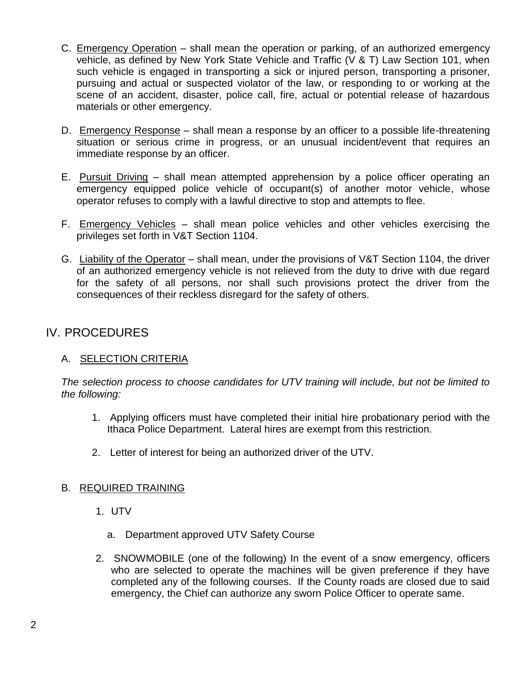- C. Emergency Operation shall mean the operation or parking, of an authorized emergency vehicle, as defined by New York State Vehicle and Traffic (V & T) Law Section 101, when such vehicle is engaged in transporting a sick or injured person, transporting a prisoner, pursuing and actual or suspected violator of the law, or responding to or working at the scene of an accident, disaster, police call, fire, actual or potential release of hazardous materials or other emergency.
- D. Emergency Response shall mean a response by an officer to a possible life-threatening situation or serious crime in progress, or an unusual incident/event that requires an immediate response by an officer.
- E. Pursuit Driving shall mean attempted apprehension by a police officer operating an emergency equipped police vehicle of occupant(s) of another motor vehicle, whose operator refuses to comply with a lawful directive to stop and attempts to flee.
- F. Emergency Vehicles shall mean police vehicles and other vehicles exercising the privileges set forth in V&T Section 1104.
- G. Liability of the Operator shall mean, under the provisions of V&T Section 1104, the driver of an authorized emergency vehicle is not relieved from the duty to drive with due regard for the safety of all persons, nor shall such provisions protect the driver from the consequences of their reckless disregard for the safety of others.

# IV. PROCEDURES

## A. SELECTION CRITERIA

*The selection process to choose candidates for UTV training will include, but not be limited to the following:*

- 1. Applying officers must have completed their initial hire probationary period with the Ithaca Police Department. Lateral hires are exempt from this restriction.
- 2. Letter of interest for being an authorized driver of the UTV.

## B. REQUIRED TRAINING

- 1. UTV
	- a. Department approved UTV Safety Course
- 2. SNOWMOBILE (one of the following) In the event of a snow emergency, officers who are selected to operate the machines will be given preference if they have completed any of the following courses. If the County roads are closed due to said emergency, the Chief can authorize any sworn Police Officer to operate same.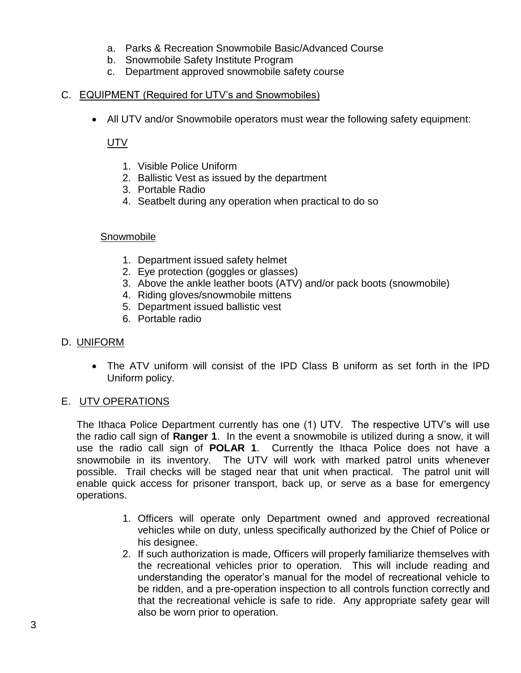- a. Parks & Recreation Snowmobile Basic/Advanced Course
- b. Snowmobile Safety Institute Program
- c. Department approved snowmobile safety course

#### C. EQUIPMENT (Required for UTV's and Snowmobiles)

All UTV and/or Snowmobile operators must wear the following safety equipment:

UTV

- 1. Visible Police Uniform
- 2. Ballistic Vest as issued by the department
- 3. Portable Radio
- 4. Seatbelt during any operation when practical to do so

#### Snowmobile

- 1. Department issued safety helmet
- 2. Eye protection (goggles or glasses)
- 3. Above the ankle leather boots (ATV) and/or pack boots (snowmobile)
- 4. Riding gloves/snowmobile mittens
- 5. Department issued ballistic vest
- 6. Portable radio

#### D. UNIFORM

 The ATV uniform will consist of the IPD Class B uniform as set forth in the IPD Uniform policy.

## E. UTV OPERATIONS

The Ithaca Police Department currently has one (1) UTV. The respective UTV's will use the radio call sign of **Ranger 1**. In the event a snowmobile is utilized during a snow, it will use the radio call sign of **POLAR 1**. Currently the Ithaca Police does not have a snowmobile in its inventory. The UTV will work with marked patrol units whenever possible. Trail checks will be staged near that unit when practical. The patrol unit will enable quick access for prisoner transport, back up, or serve as a base for emergency operations.

- 1. Officers will operate only Department owned and approved recreational vehicles while on duty, unless specifically authorized by the Chief of Police or his designee.
- 2. If such authorization is made, Officers will properly familiarize themselves with the recreational vehicles prior to operation. This will include reading and understanding the operator's manual for the model of recreational vehicle to be ridden, and a pre-operation inspection to all controls function correctly and that the recreational vehicle is safe to ride. Any appropriate safety gear will also be worn prior to operation.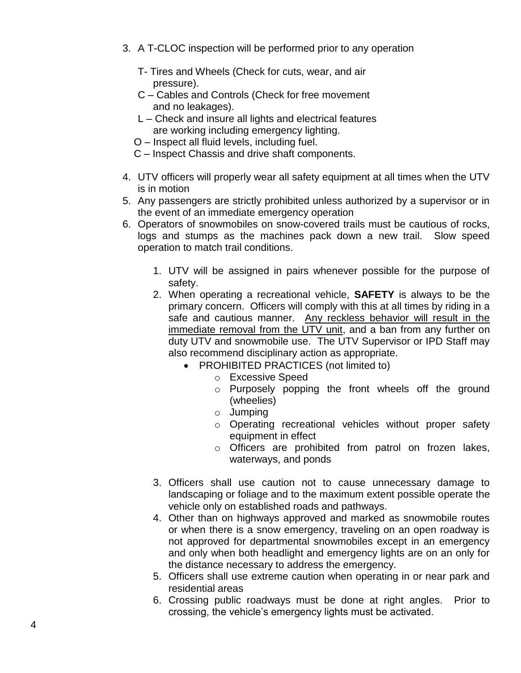- 3. A T-CLOC inspection will be performed prior to any operation
	- T- Tires and Wheels (Check for cuts, wear, and air pressure).
	- C Cables and Controls (Check for free movement and no leakages).
	- L Check and insure all lights and electrical features are working including emergency lighting.
	- O Inspect all fluid levels, including fuel.
	- C Inspect Chassis and drive shaft components.
- 4. UTV officers will properly wear all safety equipment at all times when the UTV is in motion
- 5. Any passengers are strictly prohibited unless authorized by a supervisor or in the event of an immediate emergency operation
- 6. Operators of snowmobiles on snow-covered trails must be cautious of rocks, logs and stumps as the machines pack down a new trail. Slow speed operation to match trail conditions.
	- 1. UTV will be assigned in pairs whenever possible for the purpose of safety.
	- 2. When operating a recreational vehicle, **SAFETY** is always to be the primary concern. Officers will comply with this at all times by riding in a safe and cautious manner. Any reckless behavior will result in the immediate removal from the UTV unit, and a ban from any further on duty UTV and snowmobile use. The UTV Supervisor or IPD Staff may also recommend disciplinary action as appropriate.
		- PROHIBITED PRACTICES (not limited to)
			- o Excessive Speed
			- o Purposely popping the front wheels off the ground (wheelies)
			- o Jumping
			- o Operating recreational vehicles without proper safety equipment in effect
			- o Officers are prohibited from patrol on frozen lakes, waterways, and ponds
	- 3. Officers shall use caution not to cause unnecessary damage to landscaping or foliage and to the maximum extent possible operate the vehicle only on established roads and pathways.
	- 4. Other than on highways approved and marked as snowmobile routes or when there is a snow emergency, traveling on an open roadway is not approved for departmental snowmobiles except in an emergency and only when both headlight and emergency lights are on an only for the distance necessary to address the emergency.
	- 5. Officers shall use extreme caution when operating in or near park and residential areas
	- 6. Crossing public roadways must be done at right angles. Prior to crossing, the vehicle's emergency lights must be activated.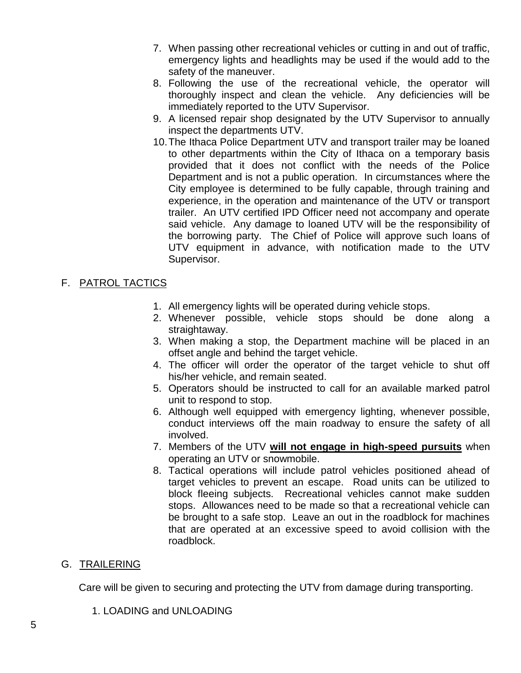- 7. When passing other recreational vehicles or cutting in and out of traffic, emergency lights and headlights may be used if the would add to the safety of the maneuver.
- 8. Following the use of the recreational vehicle, the operator will thoroughly inspect and clean the vehicle. Any deficiencies will be immediately reported to the UTV Supervisor.
- 9. A licensed repair shop designated by the UTV Supervisor to annually inspect the departments UTV.
- 10.The Ithaca Police Department UTV and transport trailer may be loaned to other departments within the City of Ithaca on a temporary basis provided that it does not conflict with the needs of the Police Department and is not a public operation. In circumstances where the City employee is determined to be fully capable, through training and experience, in the operation and maintenance of the UTV or transport trailer. An UTV certified IPD Officer need not accompany and operate said vehicle. Any damage to loaned UTV will be the responsibility of the borrowing party. The Chief of Police will approve such loans of UTV equipment in advance, with notification made to the UTV Supervisor.

# F. PATROL TACTICS

- 1. All emergency lights will be operated during vehicle stops.
- 2. Whenever possible, vehicle stops should be done along a straightaway.
- 3. When making a stop, the Department machine will be placed in an offset angle and behind the target vehicle.
- 4. The officer will order the operator of the target vehicle to shut off his/her vehicle, and remain seated.
- 5. Operators should be instructed to call for an available marked patrol unit to respond to stop.
- 6. Although well equipped with emergency lighting, whenever possible, conduct interviews off the main roadway to ensure the safety of all involved.
- 7. Members of the UTV **will not engage in high-speed pursuits** when operating an UTV or snowmobile.
- 8. Tactical operations will include patrol vehicles positioned ahead of target vehicles to prevent an escape. Road units can be utilized to block fleeing subjects. Recreational vehicles cannot make sudden stops. Allowances need to be made so that a recreational vehicle can be brought to a safe stop. Leave an out in the roadblock for machines that are operated at an excessive speed to avoid collision with the roadblock.

# G. TRAILERING

Care will be given to securing and protecting the UTV from damage during transporting.

1. LOADING and UNLOADING